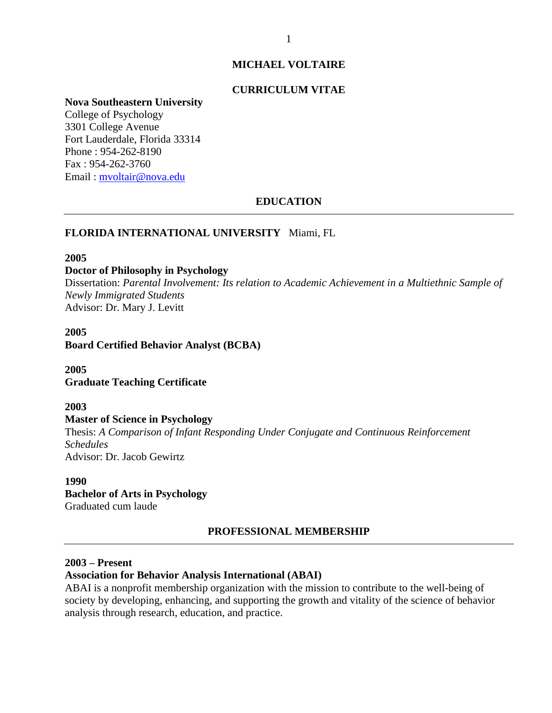# **MICHAEL VOLTAIRE**

# **CURRICULUM VITAE**

#### **Nova Southeastern University**

College of Psychology 3301 College Avenue Fort Lauderdale, Florida 33314 Phone : 954-262-8190 Fax : 954-262-3760 Email : [mvoltair@nova.edu](mailto:mvoltair@nova.edu)

#### **EDUCATION**

# **FLORIDA INTERNATIONAL UNIVERSITY** Miami, FL

#### **2005**

#### **Doctor of Philosophy in Psychology**

Dissertation: *Parental Involvement: Its relation to Academic Achievement in a Multiethnic Sample of Newly Immigrated Students* Advisor: Dr. Mary J. Levitt

# **2005**

**Board Certified Behavior Analyst (BCBA)** 

**2005 Graduate Teaching Certificate**

## **2003 Master of Science in Psychology**

Thesis: *A Comparison of Infant Responding Under Conjugate and Continuous Reinforcement Schedules*  Advisor: Dr. Jacob Gewirtz

#### **1990**

**Bachelor of Arts in Psychology** Graduated cum laude

## **PROFESSIONAL MEMBERSHIP**

#### **2003 – Present**

## **Association for Behavior Analysis International (ABAI)**

ABAI is a nonprofit membership organization with the mission to contribute to the well-being of society by developing, enhancing, and supporting the growth and vitality of the science of behavior analysis through research, education, and practice.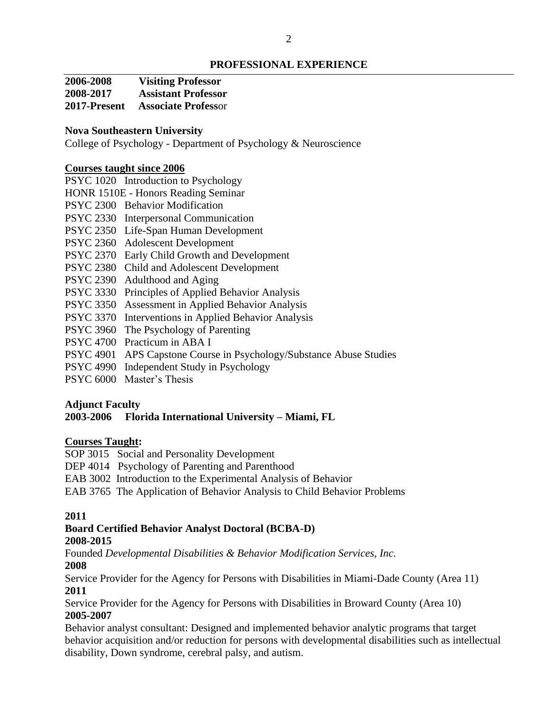# **PROFESSIONAL EXPERIENCE**

| 2006-2008    | <b>Visiting Professor</b>  |
|--------------|----------------------------|
| 2008-2017    | <b>Assistant Professor</b> |
| 2017-Present | <b>Associate Professor</b> |

# **Nova Southeastern University**

College of Psychology - Department of Psychology & Neuroscience

## **Courses taught since 2006**

PSYC 1020 Introduction to Psychology

HONR 1510E - Honors Reading Seminar

- PSYC 2300 Behavior Modification
- PSYC 2330 Interpersonal Communication
- PSYC 2350 Life-Span Human Development
- PSYC 2360 Adolescent Development
- PSYC 2370 Early Child Growth and Development
- PSYC 2380 Child and Adolescent Development
- PSYC 2390 Adulthood and Aging
- PSYC 3330 Principles of Applied Behavior Analysis
- PSYC 3350 Assessment in Applied Behavior Analysis
- PSYC 3370 Interventions in Applied Behavior Analysis
- PSYC 3960 The Psychology of Parenting
- PSYC 4700 Practicum in ABA I
- PSYC 4901 APS Capstone Course in Psychology/Substance Abuse Studies
- PSYC 4990 Independent Study in Psychology
- PSYC 6000 Master's Thesis

# **Adjunct Faculty**

# **2003-2006 Florida International University – Miami, FL**

# **Courses Taught:**

SOP 3015 Social and Personality Development

- DEP 4014 Psychology of Parenting and Parenthood
- EAB 3002 Introduction to the Experimental Analysis of Behavior

EAB 3765 The Application of Behavior Analysis to Child Behavior Problems

## **2011**

# **Board Certified Behavior Analyst Doctoral (BCBA-D)**

## **2008-2015**

Founded *Developmental Disabilities & Behavior Modification Services, Inc.* **2008**

Service Provider for the Agency for Persons with Disabilities in Miami-Dade County (Area 11) **2011** 

Service Provider for the Agency for Persons with Disabilities in Broward County (Area 10) **2005-2007**

Behavior analyst consultant: Designed and implemented behavior analytic programs that target behavior acquisition and/or reduction for persons with developmental disabilities such as intellectual disability, Down syndrome, cerebral palsy, and autism.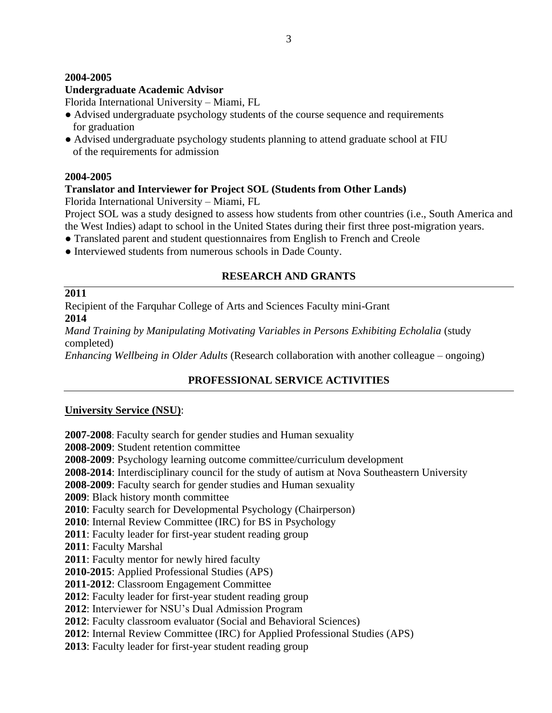# **2004-2005**

# **Undergraduate Academic Advisor**

Florida International University – Miami, FL

- Advised undergraduate psychology students of the course sequence and requirements for graduation
- Advised undergraduate psychology students planning to attend graduate school at FIU of the requirements for admission

# **2004-2005**

## **Translator and Interviewer for Project SOL (Students from Other Lands)**

Florida International University – Miami, FL

Project SOL was a study designed to assess how students from other countries (i.e., South America and the West Indies) adapt to school in the United States during their first three post-migration years.

- Translated parent and student questionnaires from English to French and Creole
- Interviewed students from numerous schools in Dade County.

# **RESEARCH AND GRANTS**

# **2011**

Recipient of the Farquhar College of Arts and Sciences Faculty mini-Grant

**2014**

*Mand Training by Manipulating Motivating Variables in Persons Exhibiting Echolalia* (study completed)

*Enhancing Wellbeing in Older Adults* (Research collaboration with another colleague – ongoing)

# **PROFESSIONAL SERVICE ACTIVITIES**

## **University Service (NSU)**:

**2007-2008**: Faculty search for gender studies and Human sexuality

**2008-2009**: Student retention committee

**2008-2009**: Psychology learning outcome committee/curriculum development

**2008-2014**: Interdisciplinary council for the study of autism at Nova Southeastern University

**2008-2009**: Faculty search for gender studies and Human sexuality

**2009**: Black history month committee

**2010**: Faculty search for Developmental Psychology (Chairperson)

**2010**: Internal Review Committee (IRC) for BS in Psychology

**2011**: Faculty leader for first-year student reading group

**2011**: Faculty Marshal

**2011**: Faculty mentor for newly hired faculty

**2010-2015**: Applied Professional Studies (APS)

**2011-2012**: Classroom Engagement Committee

**2012**: Faculty leader for first-year student reading group

**2012**: Interviewer for NSU's Dual Admission Program

**2012**: Faculty classroom evaluator (Social and Behavioral Sciences)

**2012**: Internal Review Committee (IRC) for Applied Professional Studies (APS)

**2013**: Faculty leader for first-year student reading group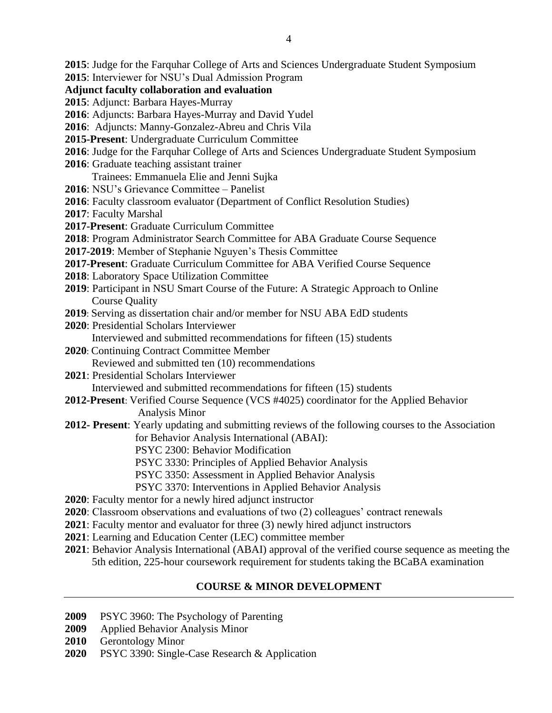- **2015**: Judge for the Farquhar College of Arts and Sciences Undergraduate Student Symposium **2015**: Interviewer for NSU's Dual Admission Program
- 
- **Adjunct faculty collaboration and evaluation**
- **2015**: Adjunct: Barbara Hayes-Murray
- **2016**: Adjuncts: Barbara Hayes-Murray and David Yudel
- **2016**: Adjuncts: Manny-Gonzalez-Abreu and Chris Vila
- **2015-Present**: Undergraduate Curriculum Committee
- **2016**: Judge for the Farquhar College of Arts and Sciences Undergraduate Student Symposium
- **2016**: Graduate teaching assistant trainer
	- Trainees: Emmanuela Elie and Jenni Sujka
- **2016**: NSU's Grievance Committee Panelist
- **2016**: Faculty classroom evaluator (Department of Conflict Resolution Studies)
- **2017**: Faculty Marshal
- **2017-Present**: Graduate Curriculum Committee
- **2018**: Program Administrator Search Committee for ABA Graduate Course Sequence
- **2017-2019**: Member of Stephanie Nguyen's Thesis Committee
- **2017-Present**: Graduate Curriculum Committee for ABA Verified Course Sequence
- **2018**: Laboratory Space Utilization Committee
- **2019**: Participant in NSU Smart Course of the Future: A Strategic Approach to Online Course Quality
- **2019**: Serving as dissertation chair and/or member for NSU ABA EdD students
- **2020**: Presidential Scholars Interviewer Interviewed and submitted recommendations for fifteen (15) students
- **2020**: Continuing Contract Committee Member Reviewed and submitted ten (10) recommendations
- **2021**: Presidential Scholars Interviewer
	- Interviewed and submitted recommendations for fifteen (15) students
- **2012-Present**: Verified Course Sequence (VCS #4025) coordinator for the Applied Behavior Analysis Minor
- **2012- Present**: Yearly updating and submitting reviews of the following courses to the Association for Behavior Analysis International (ABAI):
	- PSYC 2300: Behavior Modification
	- PSYC 3330: Principles of Applied Behavior Analysis
	- PSYC 3350: Assessment in Applied Behavior Analysis
	- PSYC 3370: Interventions in Applied Behavior Analysis
- **2020**: Faculty mentor for a newly hired adjunct instructor
- **2020**: Classroom observations and evaluations of two (2) colleagues' contract renewals
- **2021**: Faculty mentor and evaluator for three (3) newly hired adjunct instructors
- **2021**: Learning and Education Center (LEC) committee member
- **2021**: Behavior Analysis International (ABAI) approval of the verified course sequence as meeting the 5th edition, 225-hour coursework requirement for students taking the BCaBA examination

# **COURSE & MINOR DEVELOPMENT**

- **2009** PSYC 3960: The Psychology of Parenting
- **2009** Applied Behavior Analysis Minor
- **2010** Gerontology Minor
- **2020** PSYC 3390: Single-Case Research & Application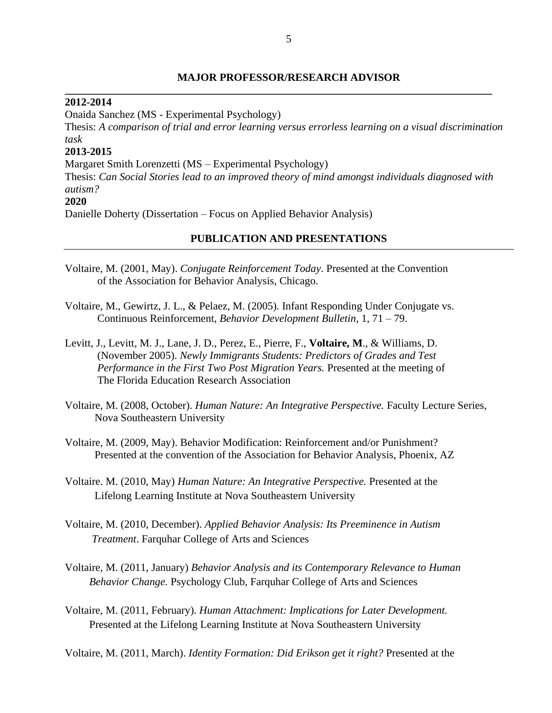## **MAJOR PROFESSOR/RESEARCH ADVISOR**

**\_\_\_\_\_\_\_\_\_\_\_\_\_\_\_\_\_\_\_\_\_\_\_\_\_\_\_\_\_\_\_\_\_\_\_\_\_\_\_\_\_\_\_\_\_\_\_\_\_\_\_\_\_\_\_\_\_\_\_\_\_\_\_\_\_\_\_\_\_\_\_\_\_\_\_\_\_\_\_**

**2012-2014**

Onaida Sanchez (MS - Experimental Psychology)

Thesis: *A comparison of trial and error learning versus errorless learning on a visual discrimination task*

## **2013-2015**

Margaret Smith Lorenzetti (MS – Experimental Psychology) Thesis: *Can Social Stories lead to an improved theory of mind amongst individuals diagnosed with autism?*

## **2020**

Danielle Doherty (Dissertation – Focus on Applied Behavior Analysis)

# **PUBLICATION AND PRESENTATIONS**

- Voltaire, M. (2001, May). *Conjugate Reinforcement Today*. Presented at the Convention of the Association for Behavior Analysis, Chicago.
- Voltaire, M., Gewirtz, J. L., & Pelaez, M. (2005). Infant Responding Under Conjugate vs. Continuous Reinforcement, *Behavior Development Bulletin*, 1, 71 – 79.
- Levitt, J., Levitt, M. J., Lane, J. D., Perez, E., Pierre, F., **Voltaire, M**., & Williams, D. (November 2005). *Newly Immigrants Students: Predictors of Grades and Test Performance in the First Two Post Migration Years.* Presented at the meeting of The Florida Education Research Association
- Voltaire, M. (2008, October). *Human Nature: An Integrative Perspective.* Faculty Lecture Series, Nova Southeastern University
- Voltaire, M. (2009, May). Behavior Modification: Reinforcement and/or Punishment? Presented at the convention of the Association for Behavior Analysis, Phoenix, AZ
- Voltaire. M. (2010, May) *Human Nature: An Integrative Perspective.* Presented at the Lifelong Learning Institute at Nova Southeastern University
- Voltaire, M. (2010, December). *Applied Behavior Analysis: Its Preeminence in Autism Treatment*. Farquhar College of Arts and Sciences
- Voltaire, M. (2011, January) *Behavior Analysis and its Contemporary Relevance to Human Behavior Change.* Psychology Club, Farquhar College of Arts and Sciences
- Voltaire, M. (2011, February). *Human Attachment: Implications for Later Development.*  Presented at the Lifelong Learning Institute at Nova Southeastern University

Voltaire, M. (2011, March). *Identity Formation: Did Erikson get it right?* Presented at the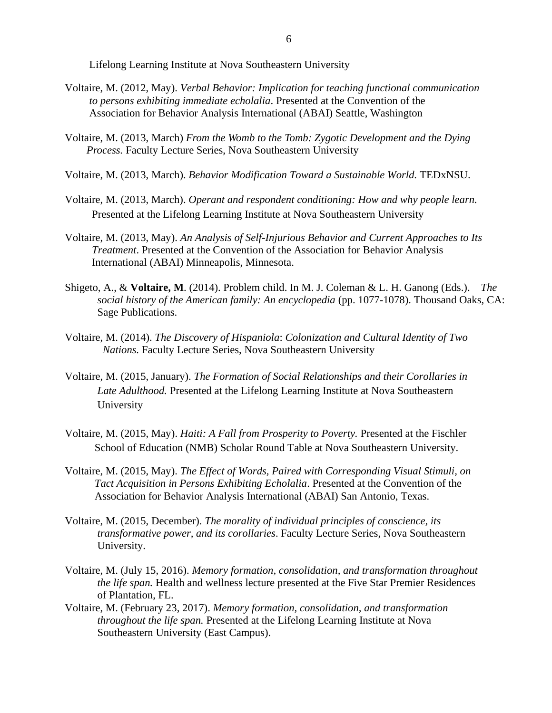Lifelong Learning Institute at Nova Southeastern University

- Voltaire, M. (2012, May). *Verbal Behavior: Implication for teaching functional communication to persons exhibiting immediate echolalia*. Presented at the Convention of the Association for Behavior Analysis International (ABAI) Seattle, Washington
- Voltaire, M. (2013, March) *From the Womb to the Tomb: Zygotic Development and the Dying Process.* Faculty Lecture Series, Nova Southeastern University
- Voltaire, M. (2013, March). *Behavior Modification Toward a Sustainable World.* TEDxNSU.
- Voltaire, M. (2013, March). *Operant and respondent conditioning: How and why people learn.*  Presented at the Lifelong Learning Institute at Nova Southeastern University
- Voltaire, M. (2013, May). *An Analysis of Self-Injurious Behavior and Current Approaches to Its Treatment*. Presented at the Convention of the Association for Behavior Analysis International (ABAI) Minneapolis, Minnesota.
- Shigeto, A., & **Voltaire, M**. (2014). Problem child. In M. J. Coleman & L. H. Ganong (Eds.). *The social history of the American family: An encyclopedia* (pp. 1077-1078). Thousand Oaks, CA: Sage Publications.
- Voltaire, M. (2014). *The Discovery of Hispaniola*: *Colonization and Cultural Identity of Two Nations.* Faculty Lecture Series, Nova Southeastern University
- Voltaire, M. (2015, January). *The Formation of Social Relationships and their Corollaries in Late Adulthood.* Presented at the Lifelong Learning Institute at Nova Southeastern University
- Voltaire, M. (2015, May). *Haiti: A Fall from Prosperity to Poverty.* Presented at the Fischler School of Education (NMB) Scholar Round Table at Nova Southeastern University.
- Voltaire, M. (2015, May). *The Effect of Words, Paired with Corresponding Visual Stimuli, on Tact Acquisition in Persons Exhibiting Echolalia*. Presented at the Convention of the Association for Behavior Analysis International (ABAI) San Antonio, Texas.
- Voltaire, M. (2015, December). *The morality of individual principles of conscience, its transformative power, and its corollaries*. Faculty Lecture Series, Nova Southeastern University.
- Voltaire, M. (July 15, 2016). *Memory formation, consolidation, and transformation throughout the life span.* Health and wellness lecture presented at the Five Star Premier Residences of Plantation, FL.
- Voltaire, M. (February 23, 2017). *Memory formation, consolidation, and transformation throughout the life span.* Presented at the Lifelong Learning Institute at Nova Southeastern University (East Campus).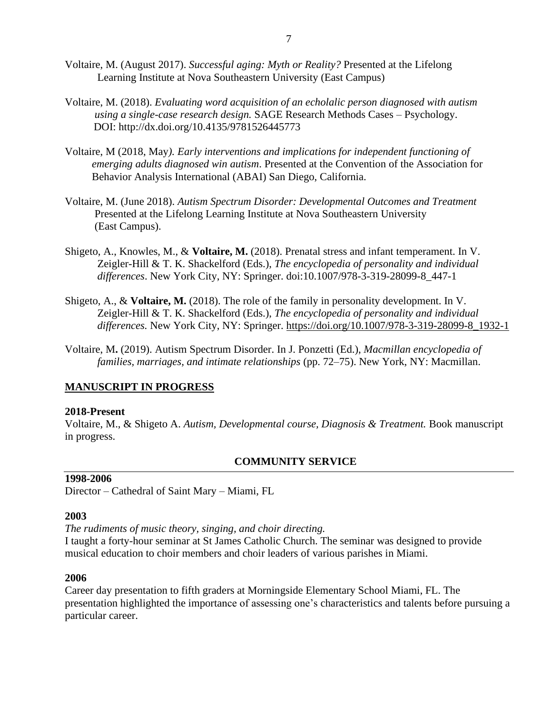- Voltaire, M. (August 2017). *Successful aging: Myth or Reality?* Presented at the Lifelong Learning Institute at Nova Southeastern University (East Campus)
- Voltaire, M. (2018). *Evaluating word acquisition of an echolalic person diagnosed with autism using a single-case research design.* SAGE Research Methods Cases – Psychology. DOI: <http://dx.doi.org/10.4135/9781526445773>
- Voltaire, M (2018, May*). Early interventions and implications for independent functioning of emerging adults diagnosed win autism*. Presented at the Convention of the Association for Behavior Analysis International (ABAI) San Diego, California.
- Voltaire, M. (June 2018). *Autism Spectrum Disorder: Developmental Outcomes and Treatment* Presented at the Lifelong Learning Institute at Nova Southeastern University (East Campus).
- Shigeto, A., Knowles, M., & **Voltaire, M.** (2018). Prenatal stress and infant temperament. In V. Zeigler-Hill & T. K. Shackelford (Eds.), *The encyclopedia of personality and individual differences*. New York City, NY: Springer. doi:10.1007/978-3-319-28099-8\_447-1
- Shigeto, A., & **Voltaire, M.** (2018). The role of the family in personality development. In V. Zeigler-Hill & T. K. Shackelford (Eds.), *The encyclopedia of personality and individual differences.* New York City, NY: Springer. [https://doi.org/10.1007/978-3-319-28099-8\\_1932-1](https://doi.org/10.1007/978-3-319-28099-8_1932-1)
- Voltaire, M**.** (2019). Autism Spectrum Disorder. In J. Ponzetti (Ed.), *Macmillan encyclopedia of families, marriages, and intimate relationships* (pp. 72–75). New York, NY: Macmillan.

# **MANUSCRIPT IN PROGRESS**

## **2018-Present**

Voltaire, M., & Shigeto A. *Autism, Developmental course, Diagnosis & Treatment.* Book manuscript in progress.

## **COMMUNITY SERVICE**

## **1998-2006**

Director – Cathedral of Saint Mary – Miami, FL

## **2003**

*The rudiments of music theory, singing, and choir directing.* 

I taught a forty-hour seminar at St James Catholic Church. The seminar was designed to provide musical education to choir members and choir leaders of various parishes in Miami.

## **2006**

Career day presentation to fifth graders at Morningside Elementary School Miami, FL. The presentation highlighted the importance of assessing one's characteristics and talents before pursuing a particular career.